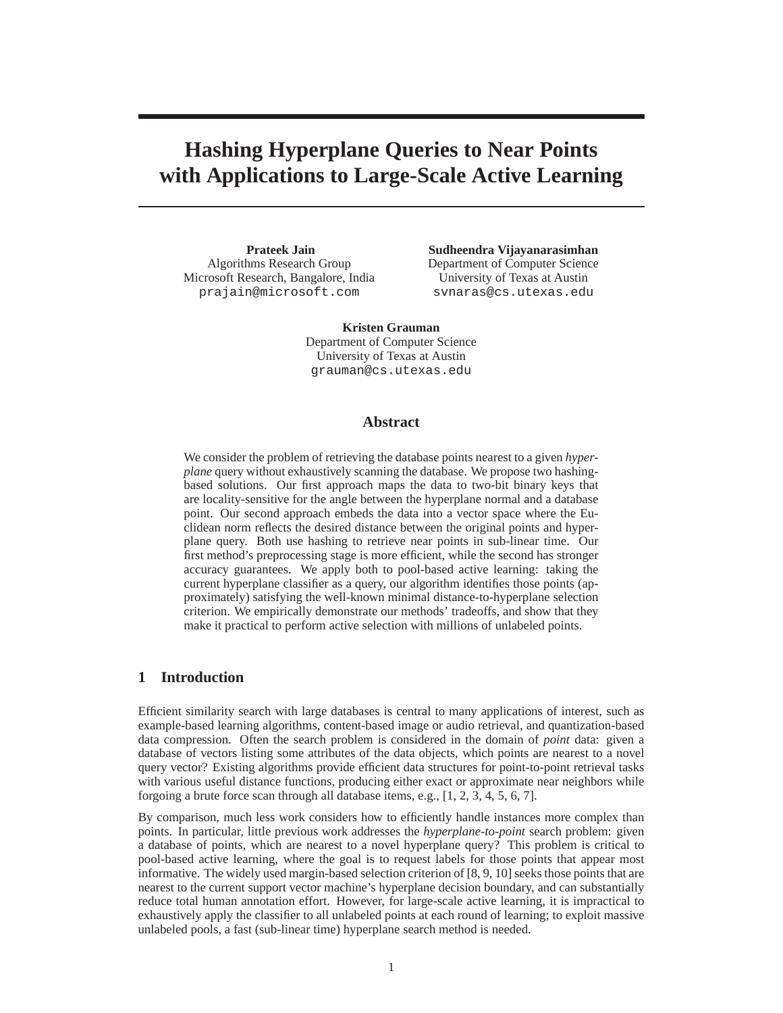# **Hashing Hyperplane Queries to Near Points with Applications to Large-Scale Active Learning**

**Prateek Jain** Algorithms Research Group Microsoft Research, Bangalore, India prajain@microsoft.com

**Sudheendra Vijayanarasimhan** Department of Computer Science University of Texas at Austin svnaras@cs.utexas.edu

**Kristen Grauman** Department of Computer Science University of Texas at Austin grauman@cs.utexas.edu

## **Abstract**

We consider the problem of retrieving the database points nearest to a given *hyperplane* query without exhaustively scanning the database. We propose two hashingbased solutions. Our first approach maps the data to two-bit binary keys that are locality-sensitive for the angle between the hyperplane normal and a database point. Our second approach embeds the data into a vector space where the Euclidean norm reflects the desired distance between the original points and hyperplane query. Both use hashing to retrieve near points in sub-linear time. Our first method's preprocessing stage is more efficient, while the second has stronger accuracy guarantees. We apply both to pool-based active learning: taking the current hyperplane classifier as a query, our algorithm identifies those points (approximately) satisfying the well-known minimal distance-to-hyperplane selection criterion. We empirically demonstrate our methods' tradeoffs, and show that they make it practical to perform active selection with millions of unlabeled points.

# **1 Introduction**

Efficient similarity search with large databases is central to many applications of interest, such as example-based learning algorithms, content-based image or audio retrieval, and quantization-based data compression. Often the search problem is considered in the domain of *point* data: given a database of vectors listing some attributes of the data objects, which points are nearest to a novel query vector? Existing algorithms provide efficient data structures for point-to-point retrieval tasks with various useful distance functions, producing either exact or approximate near neighbors while forgoing a brute force scan through all database items, e.g., [1, 2, 3, 4, 5, 6, 7].

By comparison, much less work considers how to efficiently handle instances more complex than points. In particular, little previous work addresses the *hyperplane-to-point* search problem: given a database of points, which are nearest to a novel hyperplane query? This problem is critical to pool-based active learning, where the goal is to request labels for those points that appear most informative. The widely used margin-based selection criterion of [8, 9, 10] seeks those points that are nearest to the current support vector machine's hyperplane decision boundary, and can substantially reduce total human annotation effort. However, for large-scale active learning, it is impractical to exhaustively apply the classifier to all unlabeled points at each round of learning; to exploit massive unlabeled pools, a fast (sub-linear time) hyperplane search method is needed.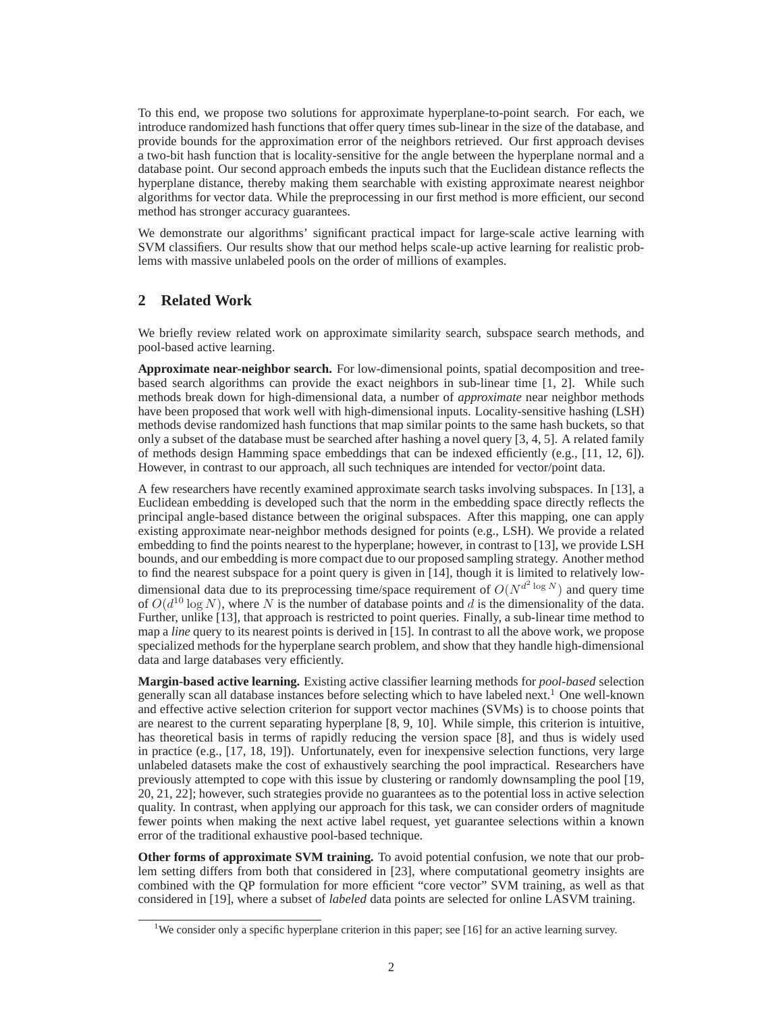To this end, we propose two solutions for approximate hyperplane-to-point search. For each, we introduce randomized hash functions that offer query times sub-linear in the size of the database, and provide bounds for the approximation error of the neighbors retrieved. Our first approach devises a two-bit hash function that is locality-sensitive for the angle between the hyperplane normal and a database point. Our second approach embeds the inputs such that the Euclidean distance reflects the hyperplane distance, thereby making them searchable with existing approximate nearest neighbor algorithms for vector data. While the preprocessing in our first method is more efficient, our second method has stronger accuracy guarantees.

We demonstrate our algorithms' significant practical impact for large-scale active learning with SVM classifiers. Our results show that our method helps scale-up active learning for realistic problems with massive unlabeled pools on the order of millions of examples.

# **2 Related Work**

We briefly review related work on approximate similarity search, subspace search methods, and pool-based active learning.

**Approximate near-neighbor search.** For low-dimensional points, spatial decomposition and treebased search algorithms can provide the exact neighbors in sub-linear time [1, 2]. While such methods break down for high-dimensional data, a number of *approximate* near neighbor methods have been proposed that work well with high-dimensional inputs. Locality-sensitive hashing (LSH) methods devise randomized hash functions that map similar points to the same hash buckets, so that only a subset of the database must be searched after hashing a novel query [3, 4, 5]. A related family of methods design Hamming space embeddings that can be indexed efficiently  $(e.g., [11, 12, 6])$ . However, in contrast to our approach, all such techniques are intended for vector/point data.

A few researchers have recently examined approximate search tasks involving subspaces. In [13], a Euclidean embedding is developed such that the norm in the embedding space directly reflects the principal angle-based distance between the original subspaces. After this mapping, one can apply existing approximate near-neighbor methods designed for points (e.g., LSH). We provide a related embedding to find the points nearest to the hyperplane; however, in contrast to [13], we provide LSH bounds, and our embedding is more compact due to our proposed sampling strategy. Another method to find the nearest subspace for a point query is given in [14], though it is limited to relatively lowdimensional data due to its preprocessing time/space requirement of  $O(N^{d^2 \log N})$  and query time of  $O(d^{10} \log N)$ , where N is the number of database points and d is the dimensionality of the data. Further, unlike [13], that approach is restricted to point queries. Finally, a sub-linear time method to map a *line* query to its nearest points is derived in [15]. In contrast to all the above work, we propose specialized methods for the hyperplane search problem, and show that they handle high-dimensional data and large databases very efficiently.

**Margin-based active learning.** Existing active classifier learning methods for *pool-based* selection generally scan all database instances before selecting which to have labeled next.<sup>1</sup> One well-known and effective active selection criterion for support vector machines (SVMs) is to choose points that are nearest to the current separating hyperplane [8, 9, 10]. While simple, this criterion is intuitive, has theoretical basis in terms of rapidly reducing the version space [8], and thus is widely used in practice (e.g., [17, 18, 19]). Unfortunately, even for inexpensive selection functions, very large unlabeled datasets make the cost of exhaustively searching the pool impractical. Researchers have previously attempted to cope with this issue by clustering or randomly downsampling the pool [19, 20, 21, 22]; however, such strategies provide no guarantees as to the potential loss in active selection quality. In contrast, when applying our approach for this task, we can consider orders of magnitude fewer points when making the next active label request, yet guarantee selections within a known error of the traditional exhaustive pool-based technique.

**Other forms of approximate SVM training.** To avoid potential confusion, we note that our problem setting differs from both that considered in [23], where computational geometry insights are combined with the QP formulation for more efficient "core vector" SVM training, as well as that considered in [19], where a subset of *labeled* data points are selected for online LASVM training.

<sup>&</sup>lt;sup>1</sup>We consider only a specific hyperplane criterion in this paper; see [16] for an active learning survey.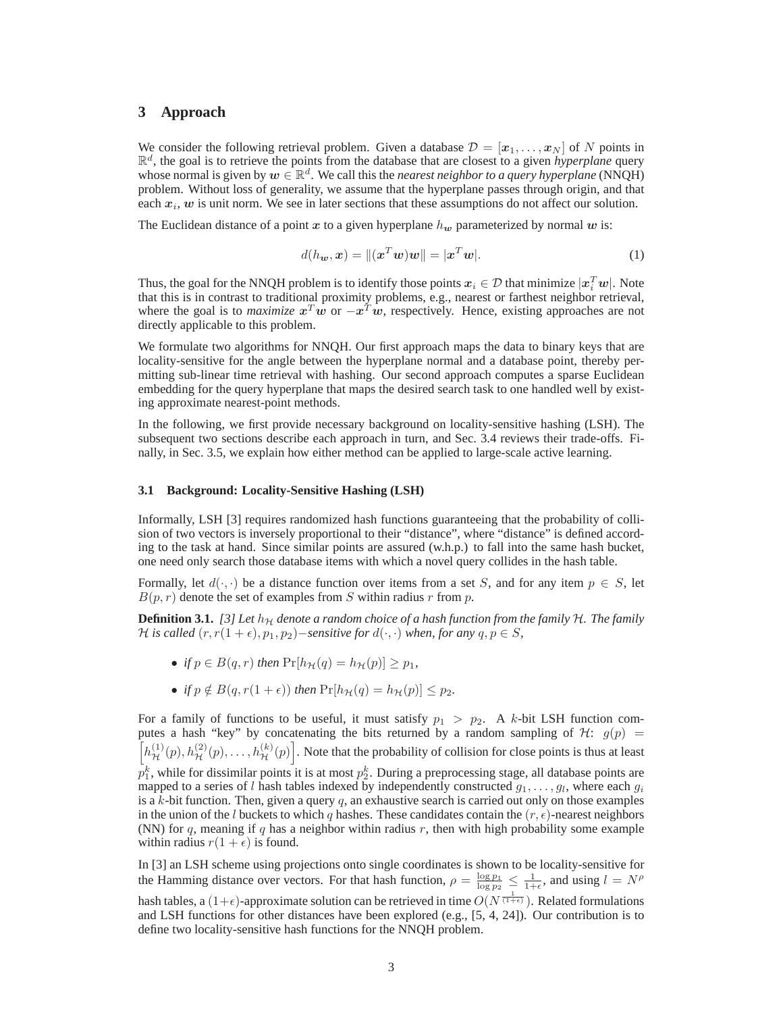# **3 Approach**

We consider the following retrieval problem. Given a database  $\mathcal{D} = [\mathbf{x}_1, \dots, \mathbf{x}_N]$  of N points in  $\mathbb{R}^d$ , the goal is to retrieve the points from the database that are closest to a given *hyperplane* query whose normal is given by  $w \in \mathbb{R}^d$ . We call this the *nearest neighbor to a query hyperplane* (NNQH) problem. Without loss of generality, we assume that the hyperplane passes through origin, and that each  $x_i$ ,  $w$  is unit norm. We see in later sections that these assumptions do not affect our solution.

The Euclidean distance of a point x to a given hyperplane  $h_w$  parameterized by normal w is:

$$
d(h_{\boldsymbol{w}}, \boldsymbol{x}) = \|(\boldsymbol{x}^T \boldsymbol{w})\boldsymbol{w}\| = |\boldsymbol{x}^T \boldsymbol{w}|.
$$
 (1)

Thus, the goal for the NNQH problem is to identify those points  $x_i \in \mathcal{D}$  that minimize  $|x_i^Tw|$ . Note that this is in contrast to traditional proximity problems, e.g., nearest or farthest neighbor retrieval, where the goal is to *maximize*  $x^T w$  or  $-x^T w$ , respectively. Hence, existing approaches are not directly applicable to this problem.

We formulate two algorithms for NNQH. Our first approach maps the data to binary keys that are locality-sensitive for the angle between the hyperplane normal and a database point, thereby permitting sub-linear time retrieval with hashing. Our second approach computes a sparse Euclidean embedding for the query hyperplane that maps the desired search task to one handled well by existing approximate nearest-point methods.

In the following, we first provide necessary background on locality-sensitive hashing (LSH). The subsequent two sections describe each approach in turn, and Sec. 3.4 reviews their trade-offs. Finally, in Sec. 3.5, we explain how either method can be applied to large-scale active learning.

#### **3.1 Background: Locality-Sensitive Hashing (LSH)**

Informally, LSH [3] requires randomized hash functions guaranteeing that the probability of collision of two vectors is inversely proportional to their "distance", where "distance" is defined according to the task at hand. Since similar points are assured (w.h.p.) to fall into the same hash bucket, one need only search those database items with which a novel query collides in the hash table.

Formally, let  $d(\cdot, \cdot)$  be a distance function over items from a set S, and for any item  $p \in S$ , let  $B(p, r)$  denote the set of examples from S within radius r from p.

**Definition 3.1.** [3] Let  $h<sub>H</sub>$  denote a random choice of a hash function from the family  $H$ . The family *H* is called  $(r, r(1 + \epsilon), p_1, p_2)$ −*sensitive for*  $d(·, ·)$  *when, for any*  $q, p \in S$ *,* 

- *if*  $p \in B(q, r)$  *then*  $\Pr[h_{\mathcal{H}}(q) = h_{\mathcal{H}}(p)] > p_1$ ,
- *if*  $p \notin B(q, r(1 + \epsilon))$  *then*  $\Pr[h_{\mathcal{H}}(q) = h_{\mathcal{H}}(p)] \leq p_2$ *.*

For a family of functions to be useful, it must satisfy  $p_1 > p_2$ . A k-bit LSH function computes a hash "key" by concatenating the bits returned by a random sampling of  $\mathcal{H}$ :  $g(p)$  =  $\left[h_{\mathcal{H}}^{(1)}(p), h_{\mathcal{H}}^{(2)}(p), \ldots, h_{\mathcal{H}}^{(k)}(p)\right]$ . Note that the probability of collision for close points is thus at least  $p_1^k$ , while for dissimilar points it is at most  $p_2^k$ . During a preprocessing stage, all database points are mapped to a series of l hash tables indexed by independently constructed  $g_1, \ldots, g_l$ , where each  $g_i$ is a  $k$ -bit function. Then, given a query  $q$ , an exhaustive search is carried out only on those examples in the union of the l buckets to which q hashes. These candidates contain the  $(r, \epsilon)$ -nearest neighbors (NN) for  $q$ , meaning if  $q$  has a neighbor within radius  $r$ , then with high probability some example within radius  $r(1 + \epsilon)$  is found.

In [3] an LSH scheme using projections onto single coordinates is shown to be locality-sensitive for the Hamming distance over vectors. For that hash function,  $\rho = \frac{\log p_1}{\log p_2} \leq \frac{1}{1+\epsilon}$ , and using  $l = N^{\rho}$ hash tables, a  $(1+\epsilon)$ -approximate solution can be retrieved in time  $O(N^{\frac{1}{(1+\epsilon)}})$ . Related formulations and LSH functions for other distances have been explored (e.g., [5, 4, 24]). Our contribution is to define two locality-sensitive hash functions for the NNQH problem.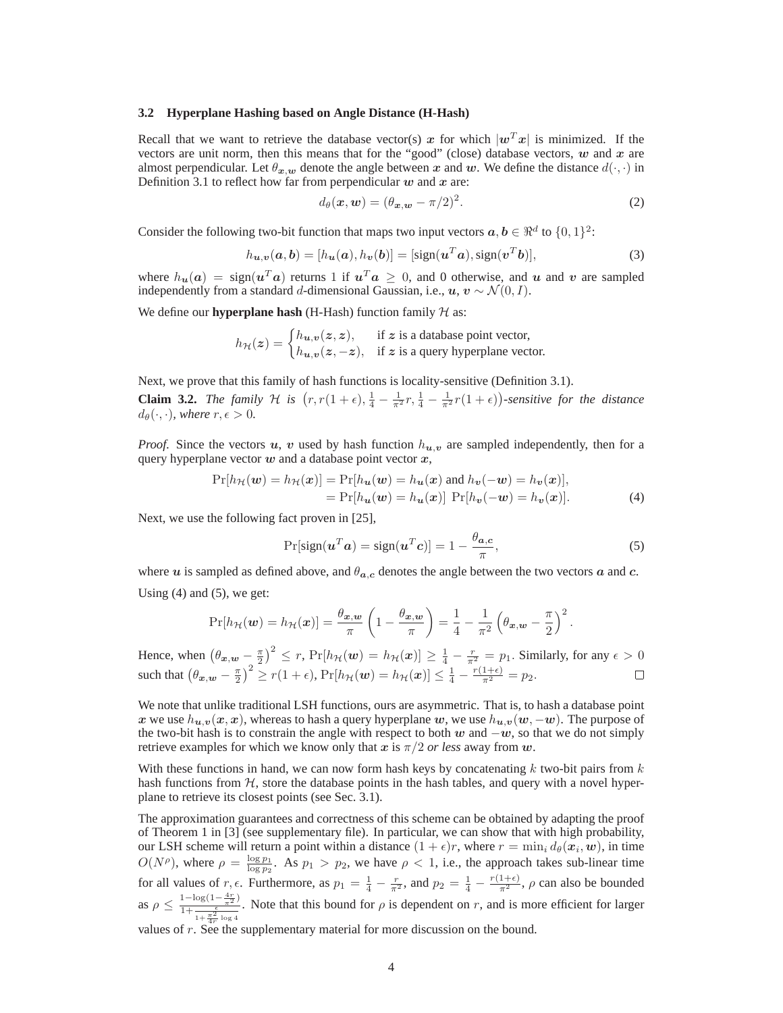#### **3.2 Hyperplane Hashing based on Angle Distance (H-Hash)**

Recall that we want to retrieve the database vector(s) x for which  $|\mathbf{w}^T\mathbf{x}|$  is minimized. If the vectors are unit norm, then this means that for the "good" (close) database vectors,  $w$  and  $x$  are almost perpendicular. Let  $\theta_{x,w}$  denote the angle between x and w. We define the distance  $d(\cdot, \cdot)$  in Definition 3.1 to reflect how far from perpendicular  $w$  and  $x$  are:

$$
d_{\theta}(\boldsymbol{x}, \boldsymbol{w}) = (\theta_{\boldsymbol{x}, \boldsymbol{w}} - \pi/2)^2.
$$
 (2)

Consider the following two-bit function that maps two input vectors  $a, b \in \mathbb{R}^d$  to  $\{0, 1\}^2$ :

$$
h_{\boldsymbol{u},\boldsymbol{v}}(\boldsymbol{a},\boldsymbol{b}) = [h_{\boldsymbol{u}}(\boldsymbol{a}),h_{\boldsymbol{v}}(\boldsymbol{b})] = [\text{sign}(\boldsymbol{u}^T\boldsymbol{a}),\text{sign}(\boldsymbol{v}^T\boldsymbol{b})],\tag{3}
$$

where  $h_u(a) = sign(u^Ta)$  returns 1 if  $u^Ta \ge 0$ , and 0 otherwise, and u and v are sampled independently from a standard d-dimensional Gaussian, i.e.,  $u, v \sim \mathcal{N}(0, I)$ .

We define our **hyperplane hash** (H-Hash) function family  $H$  as:

$$
h_{\mathcal{H}}(z) = \begin{cases} h_{u,v}(z, z), & \text{if } z \text{ is a database point vector,} \\ h_{u,v}(z, -z), & \text{if } z \text{ is a query hyperplane vector.} \end{cases}
$$

Next, we prove that this family of hash functions is locality-sensitive (Definition 3.1).

**Claim 3.2.** *The family*  $H$  *is*  $(r, r(1+\epsilon), \frac{1}{4} - \frac{1}{\pi^2}r, \frac{1}{4} - \frac{1}{\pi^2}r(1+\epsilon))$ -sensitive for the distance  $d_{\theta}(\cdot, \cdot)$ *, where*  $r, \epsilon > 0$ *.* 

*Proof.* Since the vectors u, v used by hash function  $h_{u,v}$  are sampled independently, then for a query hyperplane vector  $w$  and a database point vector  $x$ ,

$$
\Pr[h_{\mathcal{H}}(\boldsymbol{w}) = h_{\mathcal{H}}(\boldsymbol{x})] = \Pr[h_{\boldsymbol{u}}(\boldsymbol{w}) = h_{\boldsymbol{u}}(\boldsymbol{x}) \text{ and } h_{\boldsymbol{v}}(-\boldsymbol{w}) = h_{\boldsymbol{v}}(\boldsymbol{x})],
$$
  
= 
$$
\Pr[h_{\boldsymbol{u}}(\boldsymbol{w}) = h_{\boldsymbol{u}}(\boldsymbol{x})] \Pr[h_{\boldsymbol{v}}(-\boldsymbol{w}) = h_{\boldsymbol{v}}(\boldsymbol{x})]. \tag{4}
$$

Next, we use the following fact proven in [25],

$$
Pr[sign(\boldsymbol{u}^T\boldsymbol{a}) = sign(\boldsymbol{u}^T\boldsymbol{c})] = 1 - \frac{\theta_{\boldsymbol{a},\boldsymbol{c}}}{\pi},
$$
\n(5)

where u is sampled as defined above, and  $\theta_{a,c}$  denotes the angle between the two vectors a and c. Using  $(4)$  and  $(5)$ , we get:

$$
\Pr[h_{\mathcal{H}}(\boldsymbol{w}) = h_{\mathcal{H}}(\boldsymbol{x})] = \frac{\theta_{\boldsymbol{x},\boldsymbol{w}}}{\pi} \left(1 - \frac{\theta_{\boldsymbol{x},\boldsymbol{w}}}{\pi}\right) = \frac{1}{4} - \frac{1}{\pi^2} \left(\theta_{\boldsymbol{x},\boldsymbol{w}} - \frac{\pi}{2}\right)^2.
$$

Hence, when  $\left(\theta_{x,w} - \frac{\pi}{2}\right)^2 \le r$ ,  $Pr[h_{\mathcal{H}}(w) = h_{\mathcal{H}}(x)] \ge \frac{1}{4} - \frac{r}{\pi^2} = p_1$ . Similarly, for any  $\epsilon > 0$ such that  $(\theta_{\boldsymbol{x},\boldsymbol{w}} - \frac{\pi}{2})^2 \ge r(1+\epsilon)$ ,  $\Pr[h_{\mathcal{H}}(\boldsymbol{w}) = h_{\mathcal{H}}(\boldsymbol{x})] \le \frac{1}{4} - \frac{r(1+\epsilon)}{\pi^2} = p_2$ .

We note that unlike traditional LSH functions, ours are asymmetric. That is, to hash a database point x we use  $h_{u,v}(x, x)$ , whereas to hash a query hyperplane w, we use  $h_{u,v}(w, -w)$ . The purpose of the two-bit hash is to constrain the angle with respect to both w and  $-w$ , so that we do not simply retrieve examples for which we know only that x is  $\pi/2$  *or less* away from w.

With these functions in hand, we can now form hash keys by concatenating  $k$  two-bit pairs from  $k$ hash functions from  $H$ , store the database points in the hash tables, and query with a novel hyperplane to retrieve its closest points (see Sec. 3.1).

The approximation guarantees and correctness of this scheme can be obtained by adapting the proof of Theorem 1 in [3] (see supplementary file). In particular, we can show that with high probability, our LSH scheme will return a point within a distance  $(1 + \epsilon)r$ , where  $r = \min_i d_\theta(\mathbf{x}_i, \mathbf{w})$ , in time  $O(N^{\rho})$ , where  $\rho = \frac{\log p_1}{\log p_2}$ . As  $p_1 > p_2$ , we have  $\rho < 1$ , i.e., the approach takes sub-linear time for all values of  $r, \epsilon$ . Furthermore, as  $p_1 = \frac{1}{4} - \frac{r}{\pi^2}$ , and  $p_2 = \frac{1}{4} - \frac{r(1+\epsilon)}{\pi^2}$ ,  $\rho$  can also be bounded as  $\rho \leq \frac{1-\log(1-\frac{4r}{\pi^2})}{1+\frac{\pi^2}{4r}\log 4}$ . Note that this bound for  $\rho$  is dependent on r, and is more efficient for larger

values of  $r$ . See the supplementary material for more discussion on the bound.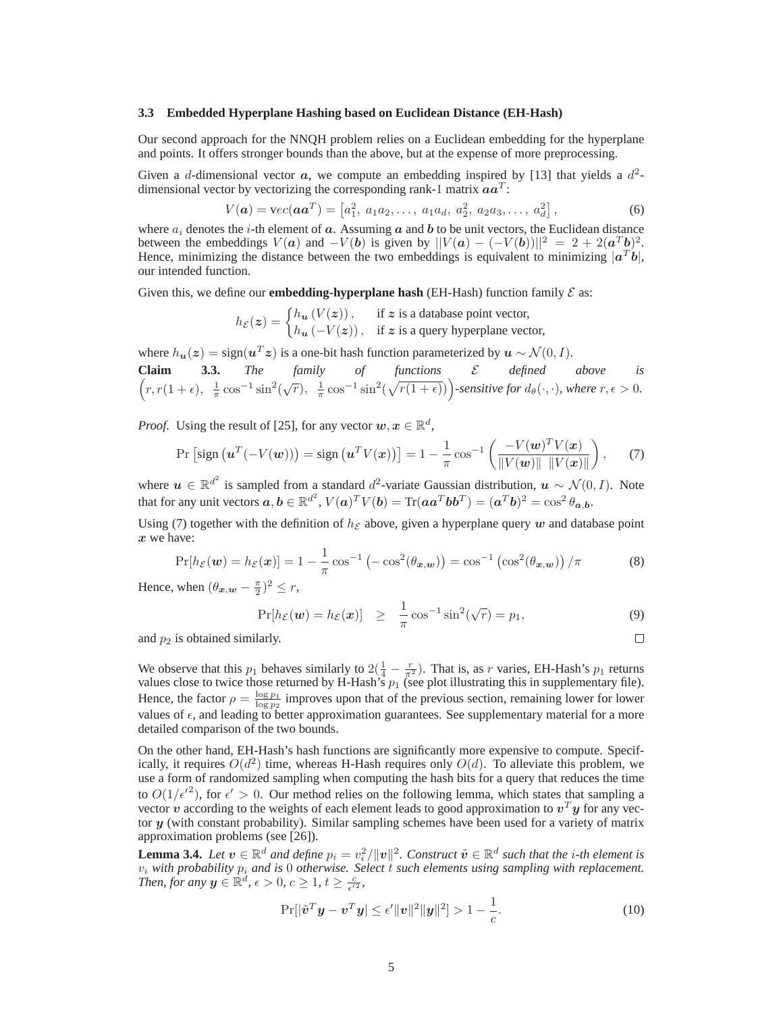#### **3.3 Embedded Hyperplane Hashing based on Euclidean Distance (EH-Hash)**

Our second approach for the NNQH problem relies on a Euclidean embedding for the hyperplane and points. It offers stronger bounds than the above, but at the expense of more preprocessing.

Given a d-dimensional vector  $a$ , we compute an embedding inspired by [13] that yields a  $d^2$ dimensional vector by vectorizing the corresponding rank-1 matrix  $aa^T$ :

$$
V(a) = \text{vec}(aa^T) = \begin{bmatrix} a_1^2, a_1 a_2, \dots, a_1 a_d, a_2^2, a_2 a_3, \dots, a_d^2 \end{bmatrix},
$$
(6)

where  $a_i$  denotes the *i*-th element of  $a$ . Assuming  $a$  and  $b$  to be unit vectors, the Euclidean distance between the embeddings  $V(a)$  and  $-V(b)$  is given by  $||V(a) - (-V(b))||^2 = 2 + 2(a^Tb)^2$ . Hence, minimizing the distance between the two embeddings is equivalent to minimizing  $|a^T b|$ , our intended function.

Given this, we define our **embedding-hyperplane hash** (EH-Hash) function family  $\mathcal{E}$  as:

 $h_{\mathcal{E}}(z) = \begin{cases} h_{u}(V(z)), & \text{if } z \text{ is a database point vector,} \\ l_{u}(V(z)) & \text{if } v \text{ is the number of } z. \end{cases}$  $h_{\boldsymbol{u}}(-V(\boldsymbol{z}))$ , if  $\boldsymbol{z}$  is a query hyperplane vector,

where  $h_{\mathbf{u}}(z) = \text{sign}(\mathbf{u}^T z)$  is a one-bit hash function parameterized by  $\mathbf{u} \sim \mathcal{N}(0, I)$ .

**Claim** 3.3. The family of functions 
$$
\mathcal{E}
$$
 defined above is  $(r, r(1+\epsilon), \frac{1}{\pi} \cos^{-1} \sin^2(\sqrt{r}), \frac{1}{\pi} \cos^{-1} \sin^2(\sqrt{r(1+\epsilon)}))$ -sensitive for  $d_{\theta}(\cdot, \cdot)$ , where  $r, \epsilon > 0$ .

*Proof.* Using the result of [25], for any vector  $w, x \in \mathbb{R}^d$ ,

$$
\Pr\left[\text{sign}\left(\boldsymbol{u}^T(-V(\boldsymbol{w}))\right) = \text{sign}\left(\boldsymbol{u}^T V(\boldsymbol{x})\right)\right] = 1 - \frac{1}{\pi} \cos^{-1}\left(\frac{-V(\boldsymbol{w})^T V(\boldsymbol{x})}{\|V(\boldsymbol{w})\| \ \|V(\boldsymbol{x})\|}\right),\tag{7}
$$

where  $u \in \mathbb{R}^{d^2}$  is sampled from a standard  $d^2$ -variate Gaussian distribution,  $u \sim \mathcal{N}(0, I)$ . Note that for any unit vectors  $a, b \in \mathbb{R}^{d^2}$ ,  $V(a)^T V(b) = \text{Tr}(aa^T b b^T) = (a^T b)^2 = \cos^2 \theta_{a,b}$ .

Using (7) together with the definition of  $h_{\mathcal{E}}$  above, given a hyperplane query w and database point x we have:

$$
\Pr[h_{\mathcal{E}}(\boldsymbol{w}) = h_{\mathcal{E}}(\boldsymbol{x})] = 1 - \frac{1}{\pi} \cos^{-1} \left( -\cos^2(\theta_{\boldsymbol{x},\boldsymbol{w}}) \right) = \cos^{-1} \left( \cos^2(\theta_{\boldsymbol{x},\boldsymbol{w}}) \right) / \pi \tag{8}
$$

Hence, when  $(\theta_{\boldsymbol{x},\boldsymbol{w}} - \frac{\pi}{2})^2 \leq r$ ,

$$
\Pr[h_{\mathcal{E}}(\boldsymbol{w}) = h_{\mathcal{E}}(\boldsymbol{x})] \geq \frac{1}{\pi} \cos^{-1} \sin^2(\sqrt{r}) = p_1,\tag{9}
$$

 $\Box$ 

and  $p_2$  is obtained similarly.

We observe that this  $p_1$  behaves similarly to  $2(\frac{1}{4} - \frac{r}{\pi^2})$ . That is, as r varies, EH-Hash's  $p_1$  returns values close to twice those returned by H-Hash's  $p_1$  (see plot illustrating this in supplementary file). Hence, the factor  $\rho = \frac{\log p_1}{\log p_2}$  improves upon that of the previous section, remaining lower for lower values of  $\epsilon$ , and leading to better approximation guarantees. See supplementary material for a more detailed comparison of the two bounds.

On the other hand, EH-Hash's hash functions are significantly more expensive to compute. Specifically, it requires  $O(d^2)$  time, whereas H-Hash requires only  $O(d)$ . To alleviate this problem, we use a form of randomized sampling when computing the hash bits for a query that reduces the time to  $O(1/\epsilon'^2)$ , for  $\epsilon' > 0$ . Our method relies on the following lemma, which states that sampling a vector  $v$  according to the weights of each element leads to good approximation to  $v^T y$  for any vector y (with constant probability). Similar sampling schemes have been used for a variety of matrix approximation problems (see [26]).

**Lemma 3.4.** *Let*  $v \in \mathbb{R}^d$  *and define*  $p_i = v_i^2 / ||v||^2$ . Construct  $\tilde{v} \in \mathbb{R}^d$  such that the *i*-th element is  $v_i$  with probability  $p_i$  and is 0 otherwise. Select t such elements using sampling with replacement. *Then, for any*  $y \in \mathbb{R}^d$ ,  $\epsilon > 0$ ,  $c \geq 1$ ,  $t \geq \frac{c}{\epsilon'^2}$ ,

$$
\Pr[|\tilde{\mathbf{v}}^T \mathbf{y} - \mathbf{v}^T \mathbf{y}| \le \epsilon' ||\mathbf{v}||^2 ||\mathbf{y}||^2] > 1 - \frac{1}{c}.
$$
 (10)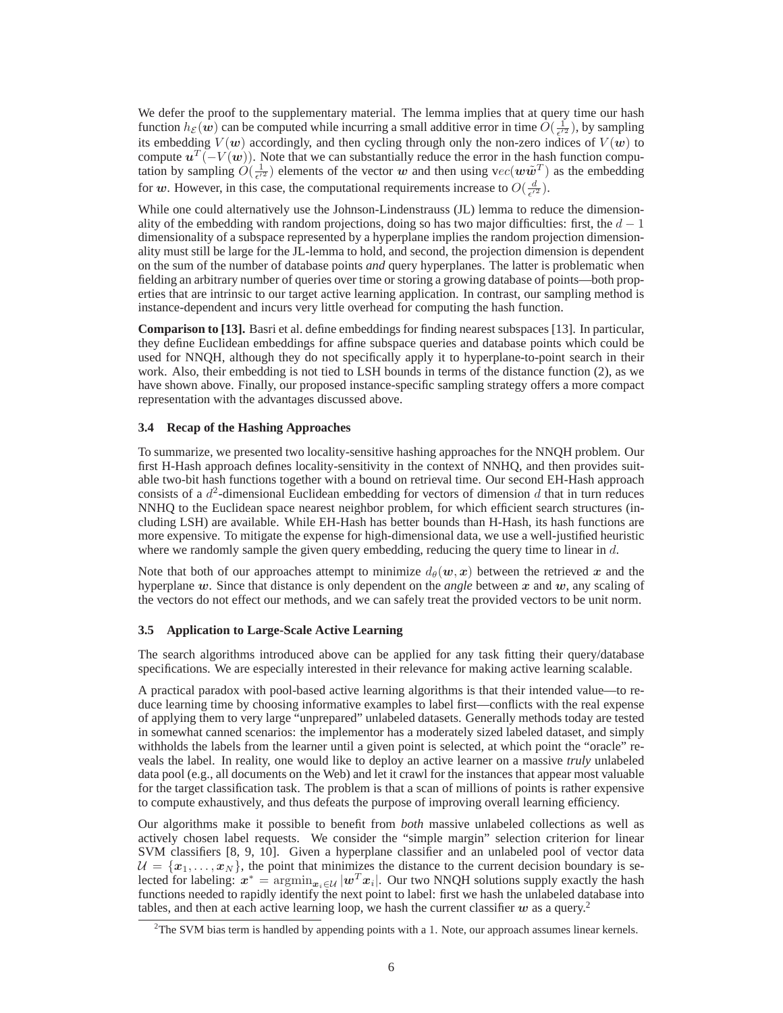We defer the proof to the supplementary material. The lemma implies that at query time our hash function  $h_{\mathcal{E}}(w)$  can be computed while incurring a small additive error in time  $\hat{O}(\frac{1}{\epsilon'^2})$ , by sampling its embedding  $V(w)$  accordingly, and then cycling through only the non-zero indices of  $V(w)$  to compute  $u^T(-V(w))$ . Note that we can substantially reduce the error in the hash function computation by sampling  $O(\frac{1}{\epsilon^{r_2}})$  elements of the vector w and then using  $vec(w\tilde{w}^T)$  as the embedding for w. However, in this case, the computational requirements increase to  $O(\frac{d}{\epsilon'^2})$ .

While one could alternatively use the Johnson-Lindenstrauss (JL) lemma to reduce the dimensionality of the embedding with random projections, doing so has two major difficulties: first, the  $d-1$ dimensionality of a subspace represented by a hyperplane implies the random projection dimensionality must still be large for the JL-lemma to hold, and second, the projection dimension is dependent on the sum of the number of database points *and* query hyperplanes. The latter is problematic when fielding an arbitrary number of queries over time or storing a growing database of points—both properties that are intrinsic to our target active learning application. In contrast, our sampling method is instance-dependent and incurs very little overhead for computing the hash function.

**Comparison to [13].** Basri et al. define embeddings for finding nearest subspaces [13]. In particular, they define Euclidean embeddings for affine subspace queries and database points which could be used for NNQH, although they do not specifically apply it to hyperplane-to-point search in their work. Also, their embedding is not tied to LSH bounds in terms of the distance function (2), as we have shown above. Finally, our proposed instance-specific sampling strategy offers a more compact representation with the advantages discussed above.

#### **3.4 Recap of the Hashing Approaches**

To summarize, we presented two locality-sensitive hashing approaches for the NNQH problem. Our first H-Hash approach defines locality-sensitivity in the context of NNHQ, and then provides suitable two-bit hash functions together with a bound on retrieval time. Our second EH-Hash approach consists of a  $d^2$ -dimensional Euclidean embedding for vectors of dimension  $d$  that in turn reduces NNHQ to the Euclidean space nearest neighbor problem, for which efficient search structures (including LSH) are available. While EH-Hash has better bounds than H-Hash, its hash functions are more expensive. To mitigate the expense for high-dimensional data, we use a well-justified heuristic where we randomly sample the given query embedding, reducing the query time to linear in  $d$ .

Note that both of our approaches attempt to minimize  $d_{\theta}(w, x)$  between the retrieved x and the hyperplane w. Since that distance is only dependent on the *angle* between x and w, any scaling of the vectors do not effect our methods, and we can safely treat the provided vectors to be unit norm.

### **3.5 Application to Large-Scale Active Learning**

The search algorithms introduced above can be applied for any task fitting their query/database specifications. We are especially interested in their relevance for making active learning scalable.

A practical paradox with pool-based active learning algorithms is that their intended value—to reduce learning time by choosing informative examples to label first—conflicts with the real expense of applying them to very large "unprepared" unlabeled datasets. Generally methods today are tested in somewhat canned scenarios: the implementor has a moderately sized labeled dataset, and simply withholds the labels from the learner until a given point is selected, at which point the "oracle" reveals the label. In reality, one would like to deploy an active learner on a massive *truly* unlabeled data pool (e.g., all documents on the Web) and let it crawl for the instances that appear most valuable for the target classification task. The problem is that a scan of millions of points is rather expensive to compute exhaustively, and thus defeats the purpose of improving overall learning efficiency.

Our algorithms make it possible to benefit from *both* massive unlabeled collections as well as actively chosen label requests. We consider the "simple margin" selection criterion for linear SVM classifiers [8, 9, 10]. Given a hyperplane classifier and an unlabeled pool of vector data  $\mathcal{U} = \{x_1, \ldots, x_N\}$ , the point that minimizes the distance to the current decision boundary is selected for labeling:  $x^* = \operatorname{argmin}_{x_i \in \mathcal{U}} |w^T x_i|$ . Our two NNQH solutions supply exactly the hash functions needed to rapidly identify the next point to label: first we hash the unlabeled database into tables, and then at each active learning loop, we hash the current classifier  $w$  as a query.<sup>2</sup>

<sup>&</sup>lt;sup>2</sup>The SVM bias term is handled by appending points with a 1. Note, our approach assumes linear kernels.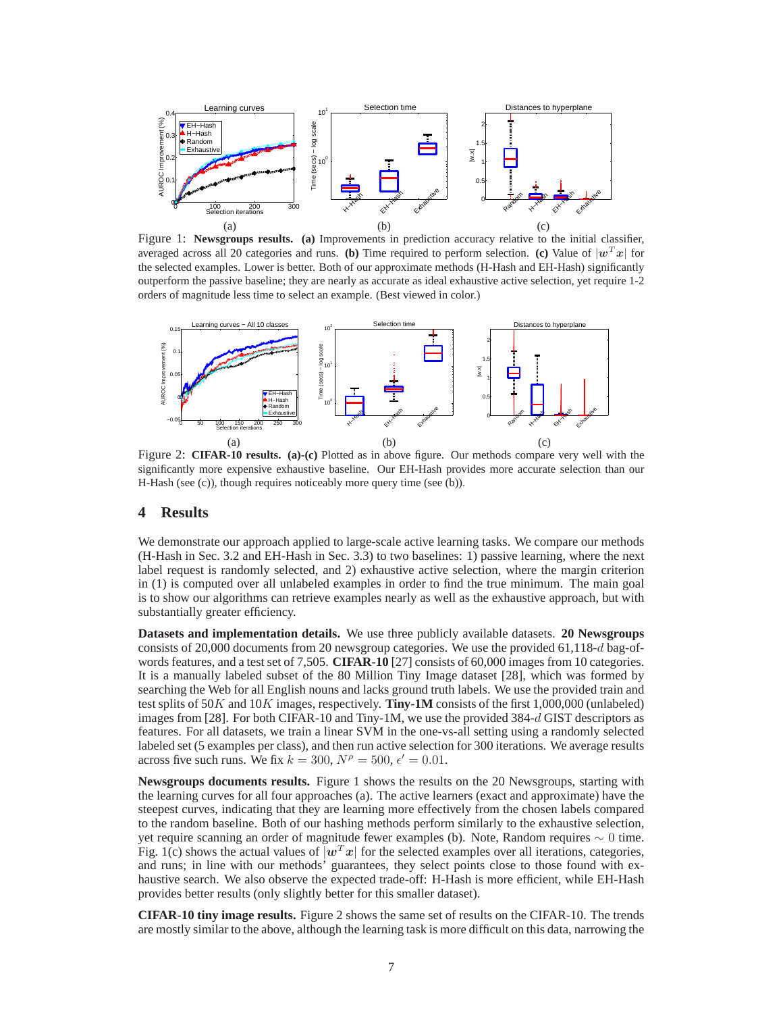

Figure 1: **Newsgroups results. (a)** Improvements in prediction accuracy relative to the initial classifier, averaged across all 20 categories and runs. **(b)** Time required to perform selection. **(c)** Value of  $|w^T x|$  for the selected examples. Lower is better. Both of our approximate methods (H-Hash and EH-Hash) significantly outperform the passive baseline; they are nearly as accurate as ideal exhaustive active selection, yet require 1-2 orders of magnitude less time to select an example. (Best viewed in color.)



Figure 2: **CIFAR-10 results. (a)-(c)** Plotted as in above figure. Our methods compare very well with the significantly more expensive exhaustive baseline. Our EH-Hash provides more accurate selection than our H-Hash (see (c)), though requires noticeably more query time (see (b)).

## **4 Results**

We demonstrate our approach applied to large-scale active learning tasks. We compare our methods (H-Hash in Sec. 3.2 and EH-Hash in Sec. 3.3) to two baselines: 1) passive learning, where the next label request is randomly selected, and 2) exhaustive active selection, where the margin criterion in (1) is computed over all unlabeled examples in order to find the true minimum. The main goal is to show our algorithms can retrieve examples nearly as well as the exhaustive approach, but with substantially greater efficiency.

**Datasets and implementation details.** We use three publicly available datasets. **20 Newsgroups** consists of 20,000 documents from 20 newsgroup categories. We use the provided 61,118-d bag-ofwords features, and a test set of 7,505. **CIFAR-10** [27] consists of 60,000 images from 10 categories. It is a manually labeled subset of the 80 Million Tiny Image dataset [28], which was formed by searching the Web for all English nouns and lacks ground truth labels. We use the provided train and test splits of 50K and 10K images, respectively. **Tiny-1M** consists of the first 1,000,000 (unlabeled) images from [28]. For both CIFAR-10 and Tiny-1M, we use the provided 384-d GIST descriptors as features. For all datasets, we train a linear SVM in the one-vs-all setting using a randomly selected labeled set (5 examples per class), and then run active selection for 300 iterations. We average results across five such runs. We fix  $k = 300$ ,  $N^{\rho} = 500$ ,  $\epsilon' = 0.01$ .

**Newsgroups documents results.** Figure 1 shows the results on the 20 Newsgroups, starting with the learning curves for all four approaches (a). The active learners (exact and approximate) have the steepest curves, indicating that they are learning more effectively from the chosen labels compared to the random baseline. Both of our hashing methods perform similarly to the exhaustive selection, yet require scanning an order of magnitude fewer examples (b). Note, Random requires ∼ 0 time. Fig. 1(c) shows the actual values of  $|w^T x|$  for the selected examples over all iterations, categories, and runs; in line with our methods' guarantees, they select points close to those found with exhaustive search. We also observe the expected trade-off: H-Hash is more efficient, while EH-Hash provides better results (only slightly better for this smaller dataset).

**CIFAR-10 tiny image results.** Figure 2 shows the same set of results on the CIFAR-10. The trends are mostly similar to the above, although the learning task is more difficult on this data, narrowing the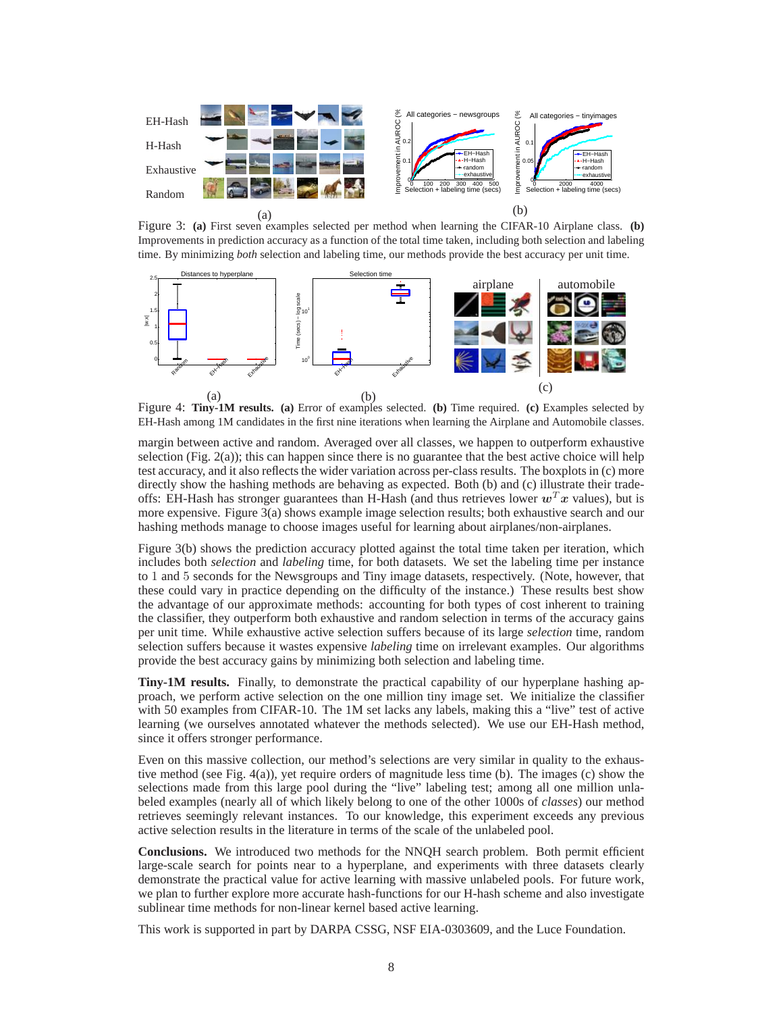

Figure 3: **(a)** First seven examples selected per method when learning the CIFAR-10 Airplane class. **(b)** Improvements in prediction accuracy as a function of the total time taken, including both selection and labeling time. By minimizing *both* selection and labeling time, our methods provide the best accuracy per unit time.



Figure 4: **Tiny-1M results. (a)** Error of examples selected. **(b)** Time required. **(c)** Examples selected by EH-Hash among 1M candidates in the first nine iterations when learning the Airplane and Automobile classes.

margin between active and random. Averaged over all classes, we happen to outperform exhaustive selection (Fig. 2(a)); this can happen since there is no guarantee that the best active choice will help test accuracy, and it also reflects the wider variation across per-class results. The boxplots in (c) more directly show the hashing methods are behaving as expected. Both (b) and (c) illustrate their tradeoffs: EH-Hash has stronger guarantees than H-Hash (and thus retrieves lower  $w^T x$  values), but is more expensive. Figure 3(a) shows example image selection results; both exhaustive search and our hashing methods manage to choose images useful for learning about airplanes/non-airplanes.

Figure 3(b) shows the prediction accuracy plotted against the total time taken per iteration, which includes both *selection* and *labeling* time, for both datasets. We set the labeling time per instance to 1 and 5 seconds for the Newsgroups and Tiny image datasets, respectively. (Note, however, that these could vary in practice depending on the difficulty of the instance.) These results best show the advantage of our approximate methods: accounting for both types of cost inherent to training the classifier, they outperform both exhaustive and random selection in terms of the accuracy gains per unit time. While exhaustive active selection suffers because of its large *selection* time, random selection suffers because it wastes expensive *labeling* time on irrelevant examples. Our algorithms provide the best accuracy gains by minimizing both selection and labeling time.

**Tiny-1M results.** Finally, to demonstrate the practical capability of our hyperplane hashing approach, we perform active selection on the one million tiny image set. We initialize the classifier with 50 examples from CIFAR-10. The 1M set lacks any labels, making this a "live" test of active learning (we ourselves annotated whatever the methods selected). We use our EH-Hash method, since it offers stronger performance.

Even on this massive collection, our method's selections are very similar in quality to the exhaustive method (see Fig. 4(a)), yet require orders of magnitude less time (b). The images (c) show the selections made from this large pool during the "live" labeling test; among all one million unlabeled examples (nearly all of which likely belong to one of the other 1000s of *classes*) our method retrieves seemingly relevant instances. To our knowledge, this experiment exceeds any previous active selection results in the literature in terms of the scale of the unlabeled pool.

**Conclusions.** We introduced two methods for the NNQH search problem. Both permit efficient large-scale search for points near to a hyperplane, and experiments with three datasets clearly demonstrate the practical value for active learning with massive unlabeled pools. For future work, we plan to further explore more accurate hash-functions for our H-hash scheme and also investigate sublinear time methods for non-linear kernel based active learning.

This work is supported in part by DARPA CSSG, NSF EIA-0303609, and the Luce Foundation.